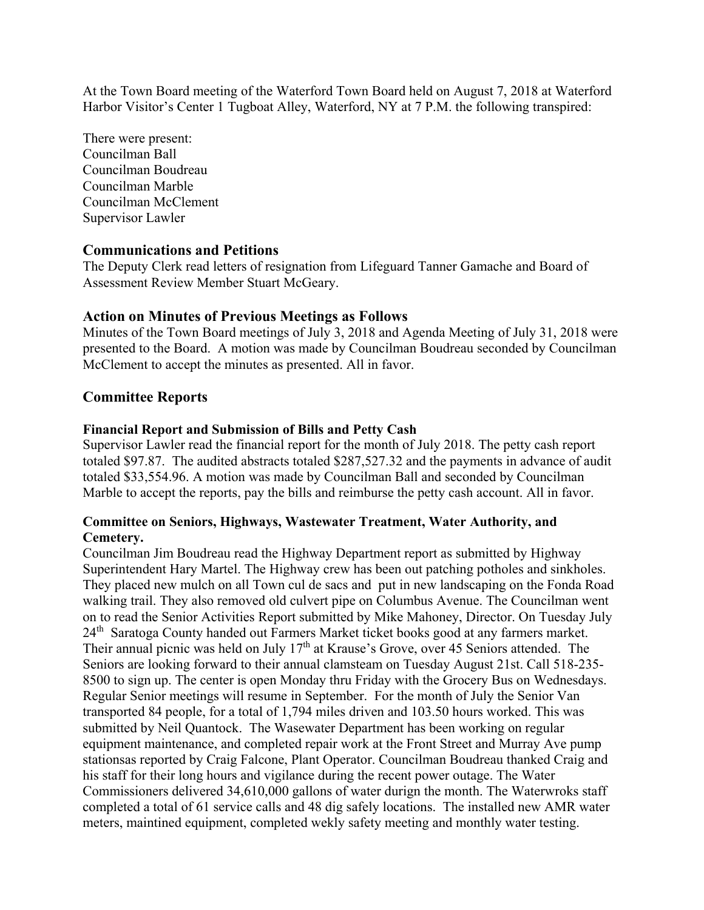At the Town Board meeting of the Waterford Town Board held on August 7, 2018 at Waterford Harbor Visitor's Center 1 Tugboat Alley, Waterford, NY at 7 P.M. the following transpired:

There were present: Councilman Ball Councilman Boudreau Councilman Marble Councilman McClement Supervisor Lawler

## **Communications and Petitions**

The Deputy Clerk read letters of resignation from Lifeguard Tanner Gamache and Board of Assessment Review Member Stuart McGeary.

# **Action on Minutes of Previous Meetings as Follows**

Minutes of the Town Board meetings of July 3, 2018 and Agenda Meeting of July 31, 2018 were presented to the Board. A motion was made by Councilman Boudreau seconded by Councilman McClement to accept the minutes as presented. All in favor.

# **Committee Reports**

## **Financial Report and Submission of Bills and Petty Cash**

Supervisor Lawler read the financial report for the month of July 2018. The petty cash report totaled \$97.87. The audited abstracts totaled \$287,527.32 and the payments in advance of audit totaled \$33,554.96. A motion was made by Councilman Ball and seconded by Councilman Marble to accept the reports, pay the bills and reimburse the petty cash account. All in favor.

## **Committee on Seniors, Highways, Wastewater Treatment, Water Authority, and Cemetery.**

Councilman Jim Boudreau read the Highway Department report as submitted by Highway Superintendent Hary Martel. The Highway crew has been out patching potholes and sinkholes. They placed new mulch on all Town cul de sacs and put in new landscaping on the Fonda Road walking trail. They also removed old culvert pipe on Columbus Avenue. The Councilman went on to read the Senior Activities Report submitted by Mike Mahoney, Director. On Tuesday July 24<sup>th</sup> Saratoga County handed out Farmers Market ticket books good at any farmers market. Their annual picnic was held on July 17<sup>th</sup> at Krause's Grove, over 45 Seniors attended. The Seniors are looking forward to their annual clamsteam on Tuesday August 21st. Call 518-235- 8500 to sign up. The center is open Monday thru Friday with the Grocery Bus on Wednesdays. Regular Senior meetings will resume in September. For the month of July the Senior Van transported 84 people, for a total of 1,794 miles driven and 103.50 hours worked. This was submitted by Neil Quantock. The Wasewater Department has been working on regular equipment maintenance, and completed repair work at the Front Street and Murray Ave pump stationsas reported by Craig Falcone, Plant Operator. Councilman Boudreau thanked Craig and his staff for their long hours and vigilance during the recent power outage. The Water Commissioners delivered 34,610,000 gallons of water durign the month. The Waterwroks staff completed a total of 61 service calls and 48 dig safely locations. The installed new AMR water meters, maintined equipment, completed wekly safety meeting and monthly water testing.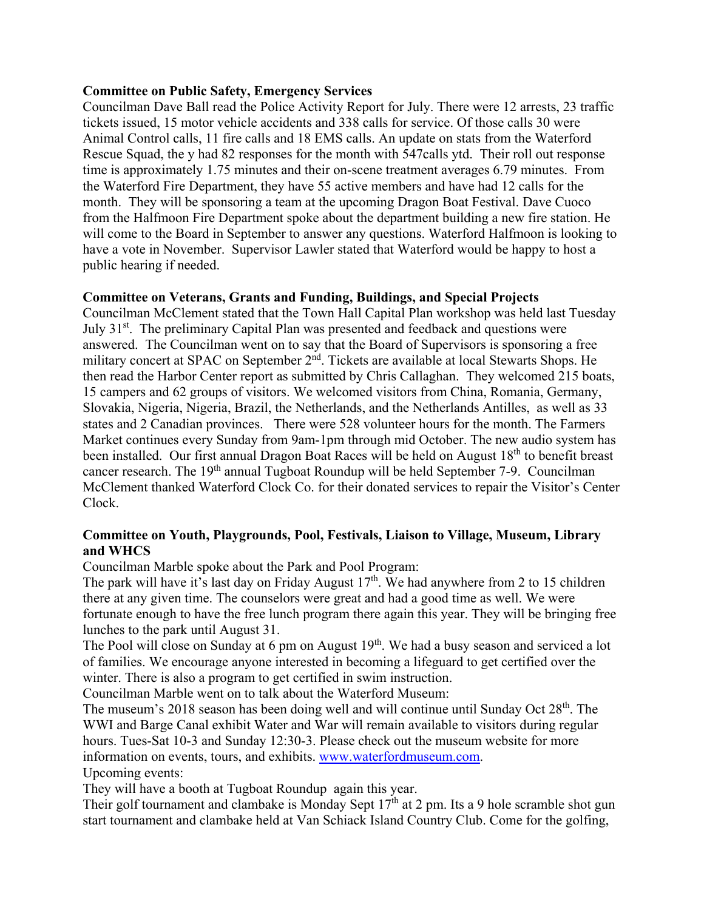## **Committee on Public Safety, Emergency Services**

Councilman Dave Ball read the Police Activity Report for July. There were 12 arrests, 23 traffic tickets issued, 15 motor vehicle accidents and 338 calls for service. Of those calls 30 were Animal Control calls, 11 fire calls and 18 EMS calls. An update on stats from the Waterford Rescue Squad, the y had 82 responses for the month with 547calls ytd. Their roll out response time is approximately 1.75 minutes and their on-scene treatment averages 6.79 minutes. From the Waterford Fire Department, they have 55 active members and have had 12 calls for the month. They will be sponsoring a team at the upcoming Dragon Boat Festival. Dave Cuoco from the Halfmoon Fire Department spoke about the department building a new fire station. He will come to the Board in September to answer any questions. Waterford Halfmoon is looking to have a vote in November. Supervisor Lawler stated that Waterford would be happy to host a public hearing if needed.

## **Committee on Veterans, Grants and Funding, Buildings, and Special Projects**

Councilman McClement stated that the Town Hall Capital Plan workshop was held last Tuesday July 31<sup>st</sup>. The preliminary Capital Plan was presented and feedback and questions were answered. The Councilman went on to say that the Board of Supervisors is sponsoring a free military concert at SPAC on September 2<sup>nd</sup>. Tickets are available at local Stewarts Shops. He then read the Harbor Center report as submitted by Chris Callaghan. They welcomed 215 boats, 15 campers and 62 groups of visitors. We welcomed visitors from China, Romania, Germany, Slovakia, Nigeria, Nigeria, Brazil, the Netherlands, and the Netherlands Antilles, as well as 33 states and 2 Canadian provinces. There were 528 volunteer hours for the month. The Farmers Market continues every Sunday from 9am-1pm through mid October. The new audio system has been installed. Our first annual Dragon Boat Races will be held on August 18<sup>th</sup> to benefit breast cancer research. The 19th annual Tugboat Roundup will be held September 7-9. Councilman McClement thanked Waterford Clock Co. for their donated services to repair the Visitor's Center Clock.

## **Committee on Youth, Playgrounds, Pool, Festivals, Liaison to Village, Museum, Library and WHCS**

Councilman Marble spoke about the Park and Pool Program:

The park will have it's last day on Friday August  $17<sup>th</sup>$ . We had anywhere from 2 to 15 children there at any given time. The counselors were great and had a good time as well. We were fortunate enough to have the free lunch program there again this year. They will be bringing free lunches to the park until August 31.

The Pool will close on Sunday at 6 pm on August  $19<sup>th</sup>$ . We had a busy season and serviced a lot of families. We encourage anyone interested in becoming a lifeguard to get certified over the winter. There is also a program to get certified in swim instruction.

Councilman Marble went on to talk about the Waterford Museum:

The museum's 2018 season has been doing well and will continue until Sunday Oct  $28<sup>th</sup>$ . The WWI and Barge Canal exhibit Water and War will remain available to visitors during regular hours. Tues-Sat 10-3 and Sunday 12:30-3. Please check out the museum website for more information on events, tours, and exhibits. www.waterfordmuseum.com. Upcoming events:

They will have a booth at Tugboat Roundup again this year.

Their golf tournament and clambake is Monday Sept  $17<sup>th</sup>$  at 2 pm. Its a 9 hole scramble shot gun start tournament and clambake held at Van Schiack Island Country Club. Come for the golfing,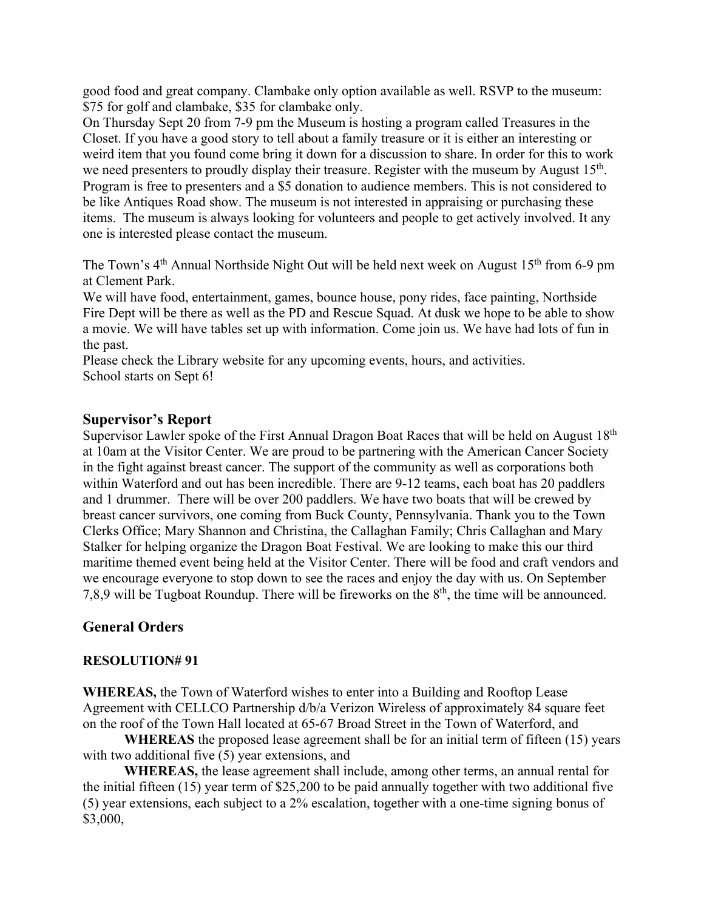good food and great company. Clambake only option available as well. RSVP to the museum: \$75 for golf and clambake, \$35 for clambake only.

On Thursday Sept 20 from 7-9 pm the Museum is hosting a program called Treasures in the Closet. If you have a good story to tell about a family treasure or it is either an interesting or weird item that you found come bring it down for a discussion to share. In order for this to work we need presenters to proudly display their treasure. Register with the museum by August 15<sup>th</sup>. Program is free to presenters and a \$5 donation to audience members. This is not considered to be like Antiques Road show. The museum is not interested in appraising or purchasing these items. The museum is always looking for volunteers and people to get actively involved. It any one is interested please contact the museum.

The Town's 4<sup>th</sup> Annual Northside Night Out will be held next week on August 15<sup>th</sup> from 6-9 pm at Clement Park.

We will have food, entertainment, games, bounce house, pony rides, face painting, Northside Fire Dept will be there as well as the PD and Rescue Squad. At dusk we hope to be able to show a movie. We will have tables set up with information. Come join us. We have had lots of fun in the past.

Please check the Library website for any upcoming events, hours, and activities. School starts on Sept 6!

# **Supervisor's Report**

Supervisor Lawler spoke of the First Annual Dragon Boat Races that will be held on August 18<sup>th</sup> at 10am at the Visitor Center. We are proud to be partnering with the American Cancer Society in the fight against breast cancer. The support of the community as well as corporations both within Waterford and out has been incredible. There are 9-12 teams, each boat has 20 paddlers and 1 drummer. There will be over 200 paddlers. We have two boats that will be crewed by breast cancer survivors, one coming from Buck County, Pennsylvania. Thank you to the Town Clerks Office; Mary Shannon and Christina, the Callaghan Family; Chris Callaghan and Mary Stalker for helping organize the Dragon Boat Festival. We are looking to make this our third maritime themed event being held at the Visitor Center. There will be food and craft vendors and we encourage everyone to stop down to see the races and enjoy the day with us. On September 7,8,9 will be Tugboat Roundup. There will be fireworks on the 8th, the time will be announced.

# **General Orders**

# **RESOLUTION# 91**

**WHEREAS,** the Town of Waterford wishes to enter into a Building and Rooftop Lease Agreement with CELLCO Partnership d/b/a Verizon Wireless of approximately 84 square feet on the roof of the Town Hall located at 65-67 Broad Street in the Town of Waterford, and

**WHEREAS** the proposed lease agreement shall be for an initial term of fifteen (15) years with two additional five (5) year extensions, and

**WHEREAS,** the lease agreement shall include, among other terms, an annual rental for the initial fifteen (15) year term of \$25,200 to be paid annually together with two additional five (5) year extensions, each subject to a 2% escalation, together with a one-time signing bonus of \$3,000,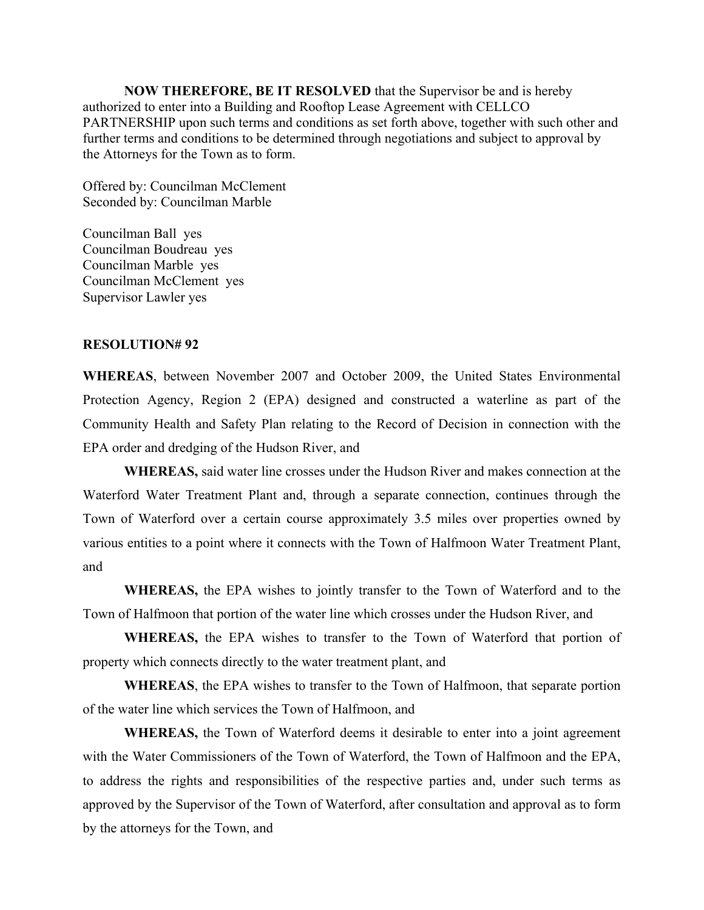**NOW THEREFORE, BE IT RESOLVED** that the Supervisor be and is hereby authorized to enter into a Building and Rooftop Lease Agreement with CELLCO PARTNERSHIP upon such terms and conditions as set forth above, together with such other and further terms and conditions to be determined through negotiations and subject to approval by the Attorneys for the Town as to form.

Offered by: Councilman McClement Seconded by: Councilman Marble

Councilman Ball yes Councilman Boudreau yes Councilman Marble yes Councilman McClement yes Supervisor Lawler yes

## **RESOLUTION# 92**

**WHEREAS**, between November 2007 and October 2009, the United States Environmental Protection Agency, Region 2 (EPA) designed and constructed a waterline as part of the Community Health and Safety Plan relating to the Record of Decision in connection with the EPA order and dredging of the Hudson River, and

**WHEREAS,** said water line crosses under the Hudson River and makes connection at the Waterford Water Treatment Plant and, through a separate connection, continues through the Town of Waterford over a certain course approximately 3.5 miles over properties owned by various entities to a point where it connects with the Town of Halfmoon Water Treatment Plant, and

 **WHEREAS,** the EPA wishes to jointly transfer to the Town of Waterford and to the Town of Halfmoon that portion of the water line which crosses under the Hudson River, and

**WHEREAS,** the EPA wishes to transfer to the Town of Waterford that portion of property which connects directly to the water treatment plant, and

**WHEREAS**, the EPA wishes to transfer to the Town of Halfmoon, that separate portion of the water line which services the Town of Halfmoon, and

**WHEREAS,** the Town of Waterford deems it desirable to enter into a joint agreement with the Water Commissioners of the Town of Waterford, the Town of Halfmoon and the EPA, to address the rights and responsibilities of the respective parties and, under such terms as approved by the Supervisor of the Town of Waterford, after consultation and approval as to form by the attorneys for the Town, and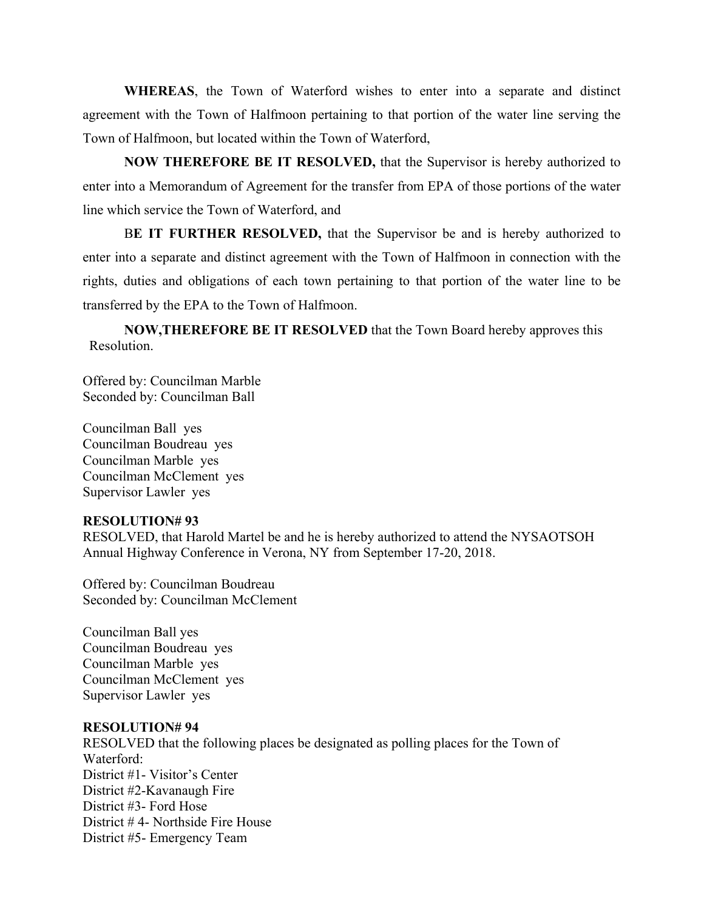**WHEREAS**, the Town of Waterford wishes to enter into a separate and distinct agreement with the Town of Halfmoon pertaining to that portion of the water line serving the Town of Halfmoon, but located within the Town of Waterford,

 **NOW THEREFORE BE IT RESOLVED,** that the Supervisor is hereby authorized to enter into a Memorandum of Agreement for the transfer from EPA of those portions of the water line which service the Town of Waterford, and

 B**E IT FURTHER RESOLVED,** that the Supervisor be and is hereby authorized to enter into a separate and distinct agreement with the Town of Halfmoon in connection with the rights, duties and obligations of each town pertaining to that portion of the water line to be transferred by the EPA to the Town of Halfmoon.

 **NOW,THEREFORE BE IT RESOLVED** that the Town Board hereby approves this Resolution.

Offered by: Councilman Marble Seconded by: Councilman Ball

Councilman Ball yes Councilman Boudreau yes Councilman Marble yes Councilman McClement yes Supervisor Lawler yes

### **RESOLUTION# 93**

RESOLVED, that Harold Martel be and he is hereby authorized to attend the NYSAOTSOH Annual Highway Conference in Verona, NY from September 17-20, 2018.

Offered by: Councilman Boudreau Seconded by: Councilman McClement

Councilman Ball yes Councilman Boudreau yes Councilman Marble yes Councilman McClement yes Supervisor Lawler yes

#### **RESOLUTION# 94**

RESOLVED that the following places be designated as polling places for the Town of Waterford: District #1- Visitor's Center District #2-Kavanaugh Fire District #3- Ford Hose District # 4- Northside Fire House District #5- Emergency Team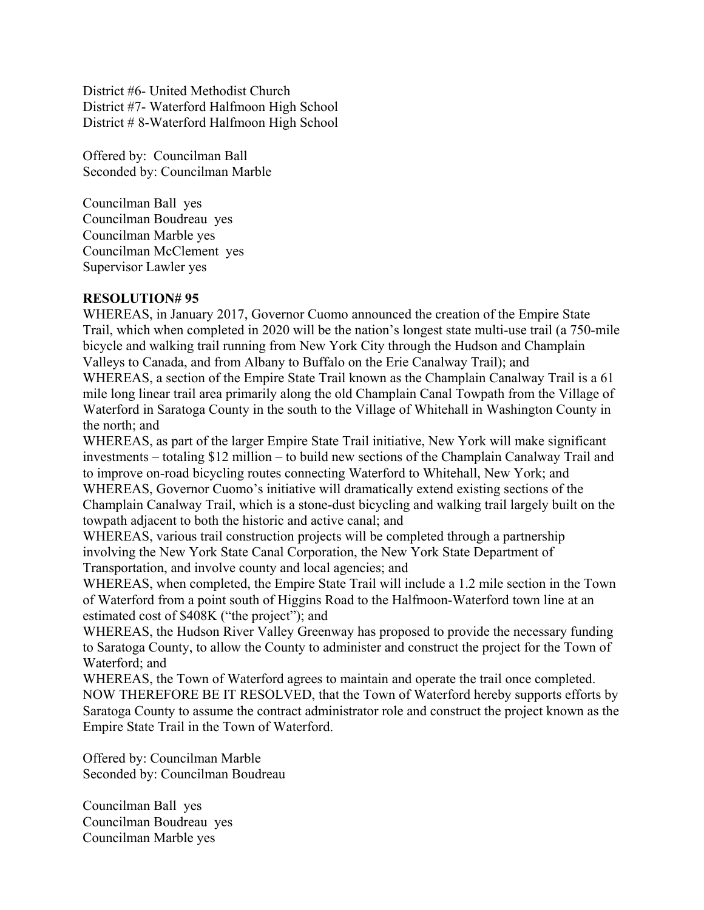District #6- United Methodist Church District #7- Waterford Halfmoon High School District # 8-Waterford Halfmoon High School

Offered by: Councilman Ball Seconded by: Councilman Marble

Councilman Ball yes Councilman Boudreau yes Councilman Marble yes Councilman McClement yes Supervisor Lawler yes

## **RESOLUTION# 95**

WHEREAS, in January 2017, Governor Cuomo announced the creation of the Empire State Trail, which when completed in 2020 will be the nation's longest state multi-use trail (a 750-mile bicycle and walking trail running from New York City through the Hudson and Champlain Valleys to Canada, and from Albany to Buffalo on the Erie Canalway Trail); and

WHEREAS, a section of the Empire State Trail known as the Champlain Canalway Trail is a 61 mile long linear trail area primarily along the old Champlain Canal Towpath from the Village of Waterford in Saratoga County in the south to the Village of Whitehall in Washington County in the north; and

WHEREAS, as part of the larger Empire State Trail initiative, New York will make significant investments – totaling \$12 million – to build new sections of the Champlain Canalway Trail and to improve on-road bicycling routes connecting Waterford to Whitehall, New York; and WHEREAS, Governor Cuomo's initiative will dramatically extend existing sections of the Champlain Canalway Trail, which is a stone-dust bicycling and walking trail largely built on the towpath adjacent to both the historic and active canal; and

WHEREAS, various trail construction projects will be completed through a partnership involving the New York State Canal Corporation, the New York State Department of Transportation, and involve county and local agencies; and

WHEREAS, when completed, the Empire State Trail will include a 1.2 mile section in the Town of Waterford from a point south of Higgins Road to the Halfmoon-Waterford town line at an estimated cost of \$408K ("the project"); and

WHEREAS, the Hudson River Valley Greenway has proposed to provide the necessary funding to Saratoga County, to allow the County to administer and construct the project for the Town of Waterford; and

WHEREAS, the Town of Waterford agrees to maintain and operate the trail once completed. NOW THEREFORE BE IT RESOLVED, that the Town of Waterford hereby supports efforts by Saratoga County to assume the contract administrator role and construct the project known as the Empire State Trail in the Town of Waterford.

Offered by: Councilman Marble Seconded by: Councilman Boudreau

Councilman Ball yes Councilman Boudreau yes Councilman Marble yes